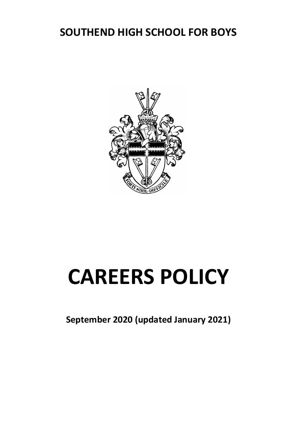# **SOUTHEND HIGH SCHOOL FOR BOYS**



# **CAREERS POLICY**

**September 2020 (updated January 2021)**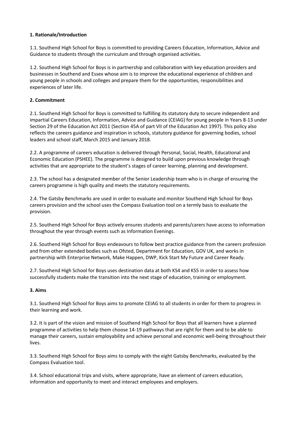# **1. Rationale/Introduction**

1.1. Southend High School for Boys is committed to providing Careers Education, Information, Advice and Guidance to students through the curriculum and through organised activities.

1.2. Southend High School for Boys is in partnership and collaboration with key education providers and businesses in Southend and Essex whose aim is to improve the educational experience of children and young people in schools and colleges and prepare them for the opportunities, responsibilities and experiences of later life.

# **2. Commitment**

2.1. Southend High School for Boys is committed to fulfilling its statutory duty to secure independent and impartial Careers Education, Information, Advice and Guidance (CEIAG) for young people in Years 8-13 under Section 29 of the Education Act 2011 (Section 45A of part VII of the Education Act 1997). This policy also reflects the careers guidance and inspiration in schools, statutory guidance for governing bodies, school leaders and school staff, March 2015 and January 2018.

2.2. A programme of careers education is delivered through Personal, Social, Health, Educational and Economic Education (PSHEE). The programme is designed to build upon previous knowledge through activities that are appropriate to the student's stages of career learning, planning and development.

2.3. The school has a designated member of the Senior Leadership team who is in charge of ensuring the careers programme is high quality and meets the statutory requirements.

2.4. The Gatsby Benchmarks are used in order to evaluate and monitor Southend High School for Boys careers provision and the school uses the Compass Evaluation tool on a termly basis to evaluate the provision.

2.5. Southend High School for Boys actively ensures students and parents/carers have access to information throughout the year through events such as Information Evenings.

2.6. Southend High School for Boys endeavours to follow best practice guidance from the careers profession and from other extended bodies such as Ofsted, Department for Education, GOV UK, and works in partnership with Enterprise Network, Make Happen, DWP, Kick Start My Future and Career Ready.

2.7. Southend High School for Boys uses destination data at both KS4 and KS5 in order to assess how successfully students make the transition into the next stage of education, training or employment.

#### **3. Aims**

3.1. Southend High School for Boys aims to promote CEIAG to all students in order for them to progress in their learning and work.

3.2. It is part of the vision and mission of Southend High School for Boys that all learners have a planned programme of activities to help them choose 14-19 pathways that are right for them and to be able to manage their careers, sustain employability and achieve personal and economic well-being throughout their lives.

3.3. Southend High School for Boys aims to comply with the eight Gatsby Benchmarks, evaluated by the Compass Evaluation tool.

3.4. School educational trips and visits, where appropriate, have an element of careers education, information and opportunity to meet and interact employees and employers.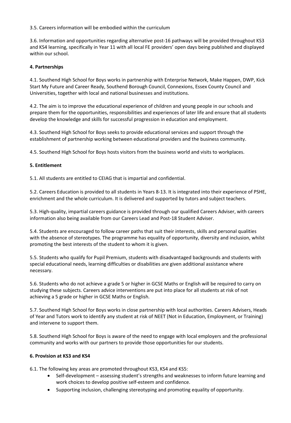3.5. Careers information will be embodied within the curriculum

3.6. Information and opportunities regarding alternative post-16 pathways will be provided throughout KS3 and KS4 learning, specifically in Year 11 with all local FE providers' open days being published and displayed within our school.

# **4. Partnerships**

4.1. Southend High School for Boys works in partnership with Enterprise Network, Make Happen, DWP, Kick Start My Future and Career Ready, Southend Borough Council, Connexions, Essex County Council and Universities, together with local and national businesses and institutions.

4.2. The aim is to improve the educational experience of children and young people in our schools and prepare them for the opportunities, responsibilities and experiences of later life and ensure that all students develop the knowledge and skills for successful progression in education and employment.

4.3. Southend High School for Boys seeks to provide educational services and support through the establishment of partnership working between educational providers and the business community.

4.5. Southend High School for Boys hosts visitors from the business world and visits to workplaces.

# **5. Entitlement**

5.1. All students are entitled to CEIAG that is impartial and confidential.

5.2. Careers Education is provided to all students in Years 8-13. It is integrated into their experience of PSHE, enrichment and the whole curriculum. It is delivered and supported by tutors and subject teachers.

5.3. High-quality, impartial careers guidance is provided through our qualified Careers Adviser, with careers information also being available from our Careers Lead and Post-18 Student Adviser.

5.4. Students are encouraged to follow career paths that suit their interests, skills and personal qualities with the absence of stereotypes. The programme has equality of opportunity, diversity and inclusion, whilst promoting the best interests of the student to whom it is given.

5.5. Students who qualify for Pupil Premium, students with disadvantaged backgrounds and students with special educational needs, learning difficulties or disabilities are given additional assistance where necessary.

5.6. Students who do not achieve a grade 5 or higher in GCSE Maths or English will be required to carry on studying these subjects. Careers advice interventions are put into place for all students at risk of not achieving a 5 grade or higher in GCSE Maths or English.

5.7. Southend High School for Boys works in close partnership with local authorities. Careers Advisers, Heads of Year and Tutors work to identify any student at risk of NEET (Not in Education, Employment, or Training) and intervene to support them.

5.8. Southend High School for Boys is aware of the need to engage with local employers and the professional community and works with our partners to provide those opportunities for our students.

#### **6. Provision at KS3 and KS4**

6.1. The following key areas are promoted throughout KS3, KS4 and KS5:

- Self-development assessing student's strengths and weaknesses to inform future learning and work choices to develop positive self-esteem and confidence.
- Supporting inclusion, challenging stereotyping and promoting equality of opportunity.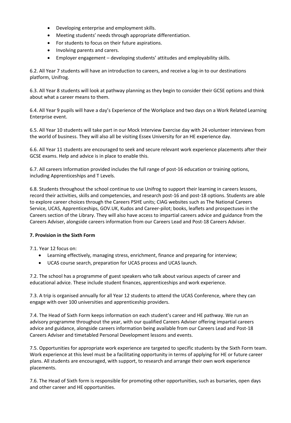- Developing enterprise and employment skills.
- Meeting students' needs through appropriate differentiation.
- For students to focus on their future aspirations.
- Involving parents and carers.
- Employer engagement developing students' attitudes and employability skills.

6.2. All Year 7 students will have an introduction to careers, and receive a log-in to our destinations platform, Unifrog.

6.3. All Year 8 students will look at pathway planning as they begin to consider their GCSE options and think about what a career means to them.

6.4. All Year 9 pupils will have a day's Experience of the Workplace and two days on a Work Related Learning Enterprise event.

6.5. All Year 10 students will take part in our Mock Interview Exercise day with 24 volunteer interviews from the world of business. They will also all be visiting Essex University for an HE experience day.

6.6. All Year 11 students are encouraged to seek and secure relevant work experience placements after their GCSE exams. Help and advice is in place to enable this.

6.7. All careers Information provided includes the full range of post-16 education or training options, including Apprenticeships and T Levels.

6.8. Students throughout the school continue to use Unifrog to support their learning in careers lessons, record their activities, skills and competencies, and research post-16 and post-18 options. Students are able to explore career choices through the Careers PSHE units; CIAG websites such as The National Careers Service, UCAS, Apprenticeships, GOV.UK, Kudos and Career-pilot; books, leaflets and prospectuses in the Careers section of the Library. They will also have access to impartial careers advice and guidance from the Careers Adviser, alongside careers information from our Careers Lead and Post-18 Careers Adviser.

#### **7. Provision in the Sixth Form**

7.1. Year 12 focus on:

- Learning effectively, managing stress, enrichment, finance and preparing for interview;
- UCAS course search, preparation for UCAS process and UCAS launch.

7.2. The school has a programme of guest speakers who talk about various aspects of career and educational advice. These include student finances, apprenticeships and work experience.

7.3. A trip is organised annually for all Year 12 students to attend the UCAS Conference, where they can engage with over 100 universities and apprenticeship providers.

7.4. The Head of Sixth Form keeps information on each student's career and HE pathway. We run an advisory programme throughout the year, with our qualified Careers Adviser offering impartial careers advice and guidance, alongside careers information being available from our Careers Lead and Post-18 Careers Adviser and timetabled Personal Development lessons and events.

7.5. Opportunities for appropriate work experience are targeted to specific students by the Sixth Form team. Work experience at this level must be a facilitating opportunity in terms of applying for HE or future career plans. All students are encouraged, with support, to research and arrange their own work experience placements.

7.6. The Head of Sixth form is responsible for promoting other opportunities, such as bursaries, open days and other career and HE opportunities.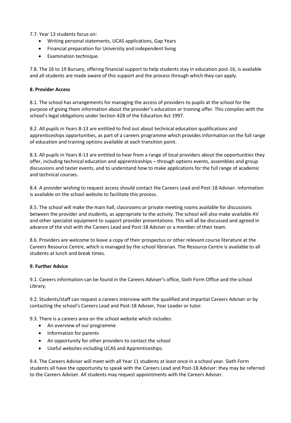7.7. Year 13 students focus on:

- Writing personal statements, UCAS applications, Gap Years
- Financial preparation for University and independent living
- Examination technique.

7.8. The 16 to 19 Bursary, offering financial support to help students stay in education post-16, is available and all students are made aware of this support and the process through which they can apply.

#### **8. Provider Access**

8.1. The school has arrangements for managing the access of providers to pupils at the school for the purpose of giving them information about the provider's education or training offer. This complies with the school's legal obligations under Section 42B of the Education Act 1997.

8.2. All pupils in Years 8-13 are entitled to find out about technical education qualifications and apprenticeships opportunities, as part of a careers programme which provides information on the full range of education and training options available at each transition point.

8.3. All pupils in Years 8-13 are entitled to hear from a range of local providers about the opportunities they offer, including technical education and apprenticeships – through options events, assemblies and group discussions and taster events, and to understand how to make applications for the full range of academic and technical courses.

8.4. A provider wishing to request access should contact the Careers Lead and Post-18 Adviser. Information is available on the school website to facilitate this process.

8.5. The school will make the main hall, classrooms or private meeting rooms available for discussions between the provider and students, as appropriate to the activity. The school will also make available AV and other specialist equipment to support provider presentations. This will all be discussed and agreed in advance of the visit with the Careers Lead and Post-18 Adviser or a member of their team.

8.6. Providers are welcome to leave a copy of their prospectus or other relevant course literature at the Careers Resource Centre, which is managed by the school librarian. The Resource Centre is available to all students at lunch and break times.

#### **9. Further Advice**

9.1. Careers information can be found in the Careers Adviser's office, Sixth Form Office and the school Library.

9.2. Students/staff can request a careers interview with the qualified and impartial Careers Adviser or by contacting the school's Careers Lead and Post-18 Adviser, Year Leader or tutor.

9.3. There is a careers area on the school website which includes:

- An overview of our programme
- Information for parents
- An opportunity for other providers to contact the school
- Useful websites including UCAS and Apprenticeships.

9.4. The Careers Adviser will meet with all Year 11 students at least once in a school year. Sixth Form students all have the opportunity to speak with the Careers Lead and Post-18 Adviser: they may be referred to the Careers Adviser. All students may request appointments with the Careers Adviser.